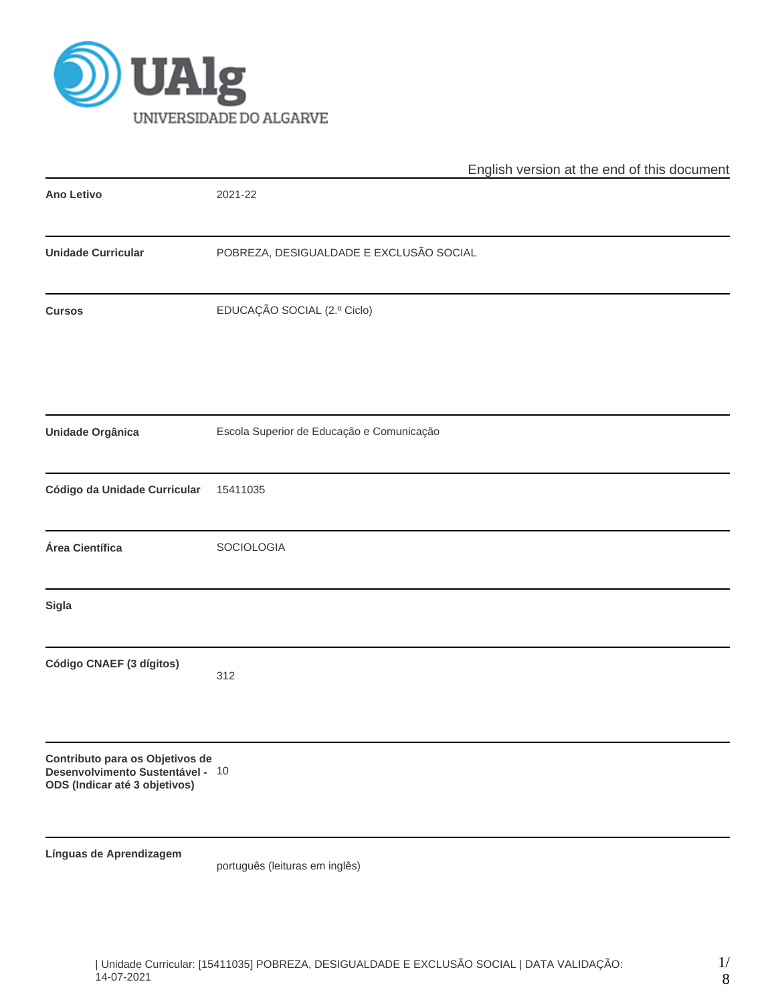

|                                                                                                      | English version at the end of this document |  |  |  |  |  |  |
|------------------------------------------------------------------------------------------------------|---------------------------------------------|--|--|--|--|--|--|
| <b>Ano Letivo</b>                                                                                    | 2021-22                                     |  |  |  |  |  |  |
| <b>Unidade Curricular</b>                                                                            | POBREZA, DESIGUALDADE E EXCLUSÃO SOCIAL     |  |  |  |  |  |  |
| <b>Cursos</b>                                                                                        | EDUCAÇÃO SOCIAL (2.º Ciclo)                 |  |  |  |  |  |  |
| <b>Unidade Orgânica</b>                                                                              | Escola Superior de Educação e Comunicação   |  |  |  |  |  |  |
| Código da Unidade Curricular                                                                         | 15411035                                    |  |  |  |  |  |  |
| Área Científica                                                                                      | SOCIOLOGIA                                  |  |  |  |  |  |  |
| <b>Sigla</b>                                                                                         |                                             |  |  |  |  |  |  |
| Código CNAEF (3 dígitos)                                                                             | 312                                         |  |  |  |  |  |  |
| Contributo para os Objetivos de<br>Desenvolvimento Sustentável - 10<br>ODS (Indicar até 3 objetivos) |                                             |  |  |  |  |  |  |
| Línguas de Aprendizagem                                                                              | português (leituras em inglês)              |  |  |  |  |  |  |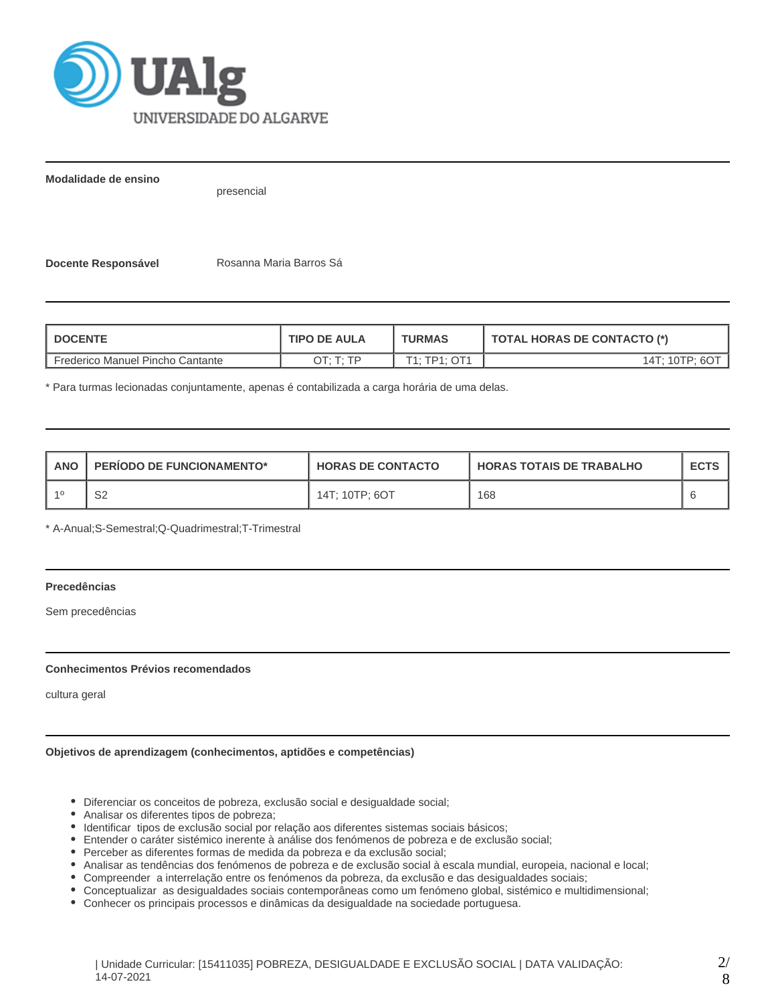

**Modalidade de ensino**

presencial

**Docente Responsável | Rosanna Maria Barros Sá** 

| <b>DOCENTE</b>                   | <b>TIPO DE AULA</b> | <b>TURMAS</b>            | TOTAL HORAS DE CONTACTO (*) |  |  |
|----------------------------------|---------------------|--------------------------|-----------------------------|--|--|
| Frederico Manuel Pincho Cantante | OT: T: TP           | $T1 \cdot TP1 \cdot OT1$ | 14T: 10TP: 6O1              |  |  |

\* Para turmas lecionadas conjuntamente, apenas é contabilizada a carga horária de uma delas.

| <b>ANO</b> | <b>PERIODO DE FUNCIONAMENTO*</b> | <b>HORAS DE CONTACTO</b> | <b>HORAS TOTAIS DE TRABALHO</b> | <b>ECTS</b> |
|------------|----------------------------------|--------------------------|---------------------------------|-------------|
|            | ິ<br>⊃∠                          | 14T; 10TP; 6OT           | 168                             |             |

\* A-Anual;S-Semestral;Q-Quadrimestral;T-Trimestral

# **Precedências**

Sem precedências

## **Conhecimentos Prévios recomendados**

cultura geral

## **Objetivos de aprendizagem (conhecimentos, aptidões e competências)**

- Diferenciar os conceitos de pobreza, exclusão social e desigualdade social;
- Analisar os diferentes tipos de pobreza;
- Identificar tipos de exclusão social por relação aos diferentes sistemas sociais básicos;
- Entender o caráter sistémico inerente à análise dos fenómenos de pobreza e de exclusão social;
- Perceber as diferentes formas de medida da pobreza e da exclusão social;
- Analisar as tendências dos fenómenos de pobreza e de exclusão social à escala mundial, europeia, nacional e local;
- Compreender a interrelação entre os fenómenos da pobreza, da exclusão e das desigualdades sociais;
- Conceptualizar as desigualdades sociais contemporâneas como um fenómeno global, sistémico e multidimensional;
- Conhecer os principais processos e dinâmicas da desigualdade na sociedade portuguesa.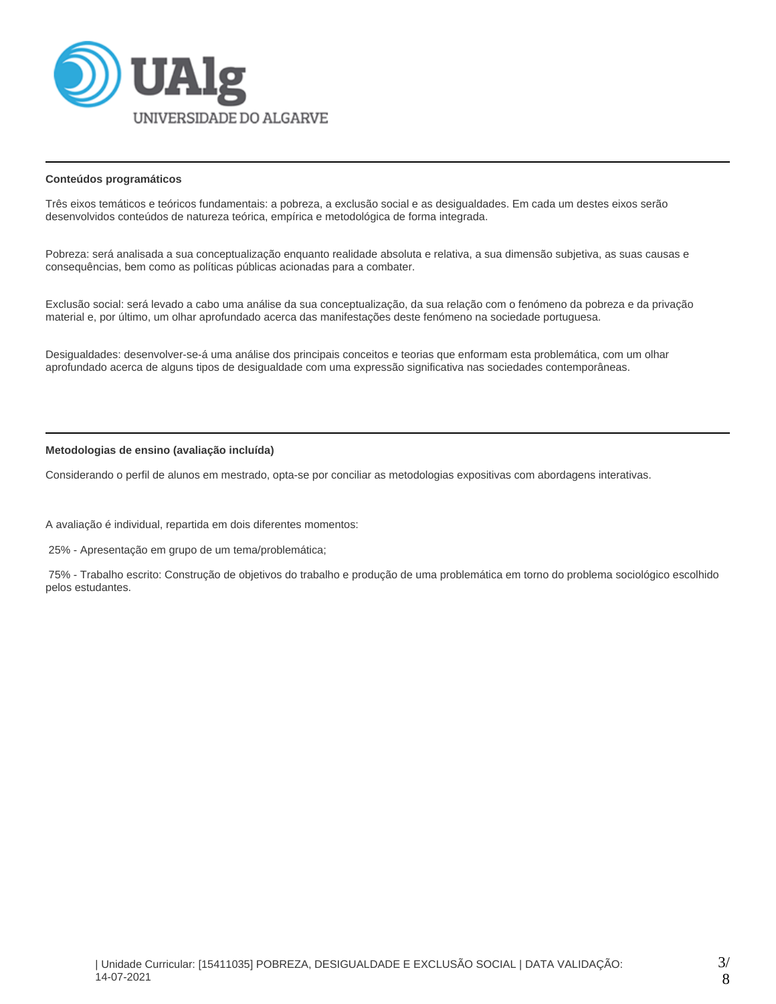

## **Conteúdos programáticos**

Três eixos temáticos e teóricos fundamentais: a pobreza, a exclusão social e as desigualdades. Em cada um destes eixos serão desenvolvidos conteúdos de natureza teórica, empírica e metodológica de forma integrada.

Pobreza: será analisada a sua conceptualização enquanto realidade absoluta e relativa, a sua dimensão subjetiva, as suas causas e consequências, bem como as políticas públicas acionadas para a combater.

Exclusão social: será levado a cabo uma análise da sua conceptualização, da sua relação com o fenómeno da pobreza e da privação material e, por último, um olhar aprofundado acerca das manifestações deste fenómeno na sociedade portuguesa.

Desigualdades: desenvolver-se-á uma análise dos principais conceitos e teorias que enformam esta problemática, com um olhar aprofundado acerca de alguns tipos de desigualdade com uma expressão significativa nas sociedades contemporâneas.

## **Metodologias de ensino (avaliação incluída)**

Considerando o perfil de alunos em mestrado, opta-se por conciliar as metodologias expositivas com abordagens interativas.

A avaliação é individual, repartida em dois diferentes momentos:

25% - Apresentação em grupo de um tema/problemática;

 75% - Trabalho escrito: Construção de objetivos do trabalho e produção de uma problemática em torno do problema sociológico escolhido pelos estudantes.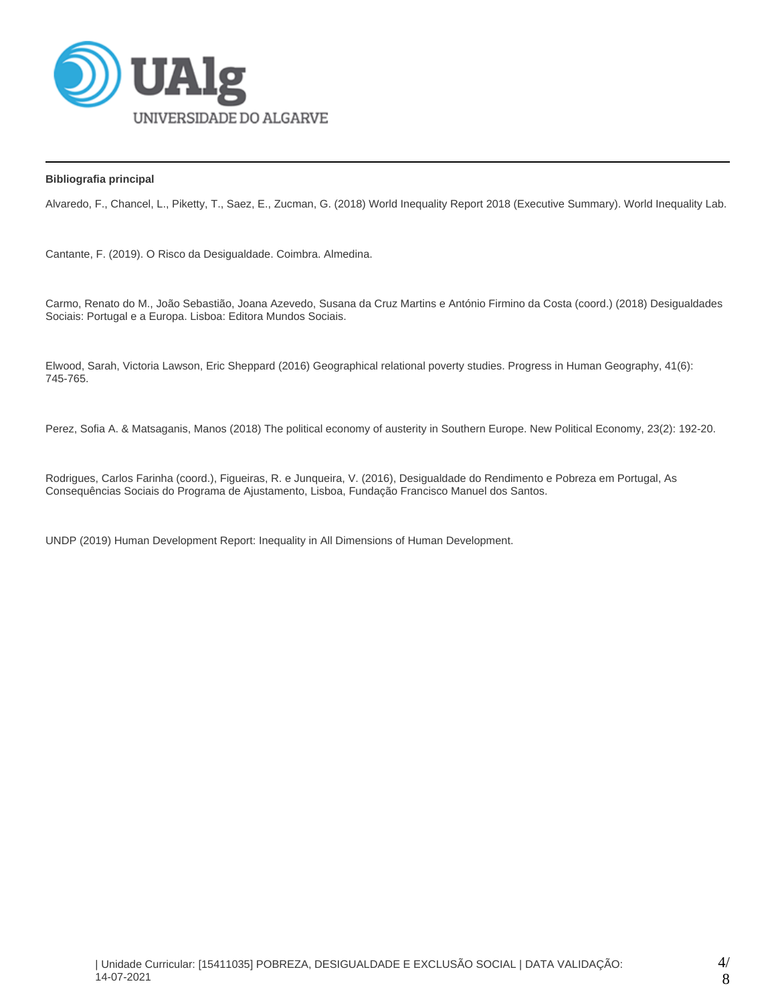

## **Bibliografia principal**

Alvaredo, F., Chancel, L., Piketty, T., Saez, E., Zucman, G. (2018) World Inequality Report 2018 (Executive Summary). World Inequality Lab.

Cantante, F. (2019). O Risco da Desigualdade. Coimbra. Almedina.

Carmo, Renato do M., João Sebastião, Joana Azevedo, Susana da Cruz Martins e António Firmino da Costa (coord.) (2018) Desigualdades Sociais: Portugal e a Europa. Lisboa: Editora Mundos Sociais.

Elwood, Sarah, Victoria Lawson, Eric Sheppard (2016) Geographical relational poverty studies. Progress in Human Geography, 41(6): 745-765.

Perez, Sofia A. & Matsaganis, Manos (2018) The political economy of austerity in Southern Europe. New Political Economy, 23(2): 192-20.

Rodrigues, Carlos Farinha (coord.), Figueiras, R. e Junqueira, V. (2016), Desigualdade do Rendimento e Pobreza em Portugal, As Consequências Sociais do Programa de Ajustamento, Lisboa, Fundação Francisco Manuel dos Santos.

UNDP (2019) Human Development Report: Inequality in All Dimensions of Human Development.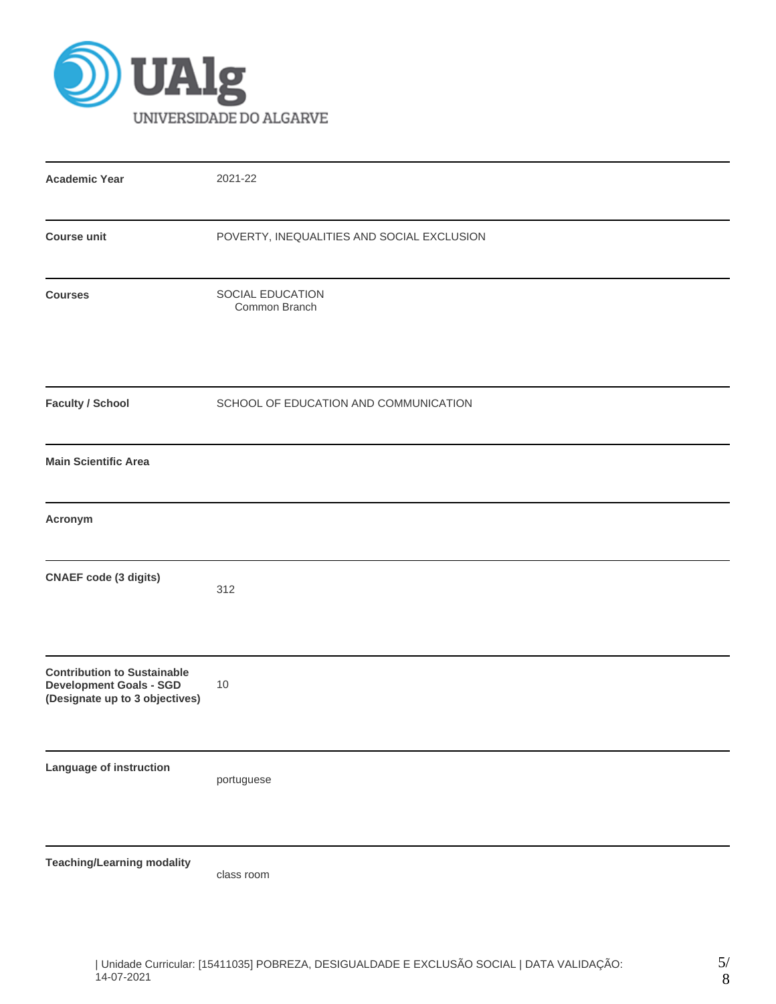

| <b>Academic Year</b>                                                                                   | 2021-22                                    |
|--------------------------------------------------------------------------------------------------------|--------------------------------------------|
| <b>Course unit</b>                                                                                     | POVERTY, INEQUALITIES AND SOCIAL EXCLUSION |
| <b>Courses</b>                                                                                         | SOCIAL EDUCATION<br>Common Branch          |
| <b>Faculty / School</b>                                                                                | SCHOOL OF EDUCATION AND COMMUNICATION      |
| <b>Main Scientific Area</b>                                                                            |                                            |
| Acronym                                                                                                |                                            |
| <b>CNAEF</b> code (3 digits)                                                                           | 312                                        |
| <b>Contribution to Sustainable</b><br><b>Development Goals - SGD</b><br>(Designate up to 3 objectives) | 10                                         |
| Language of instruction                                                                                | portuguese                                 |
| <b>Teaching/Learning modality</b>                                                                      | class room                                 |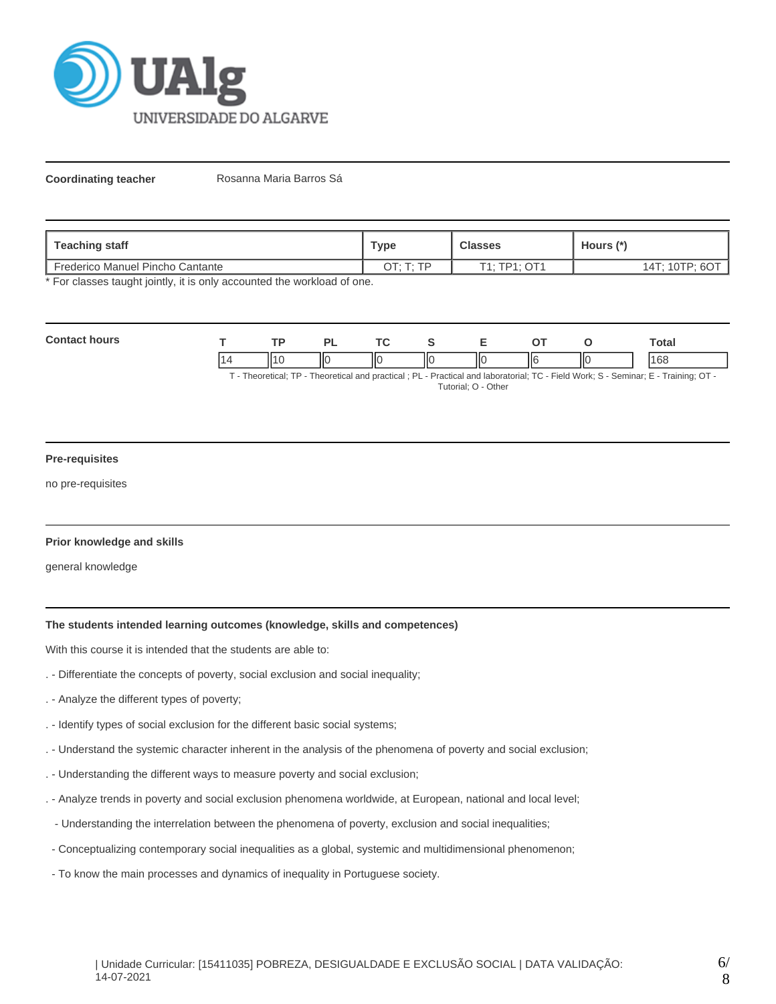

**Coordinating teacher** Rosanna Maria Barros Sá

| Teaching staff                          | <b>Type</b> | <b>Classes</b> | Hours (*)      |
|-----------------------------------------|-------------|----------------|----------------|
| <b>Frederico Manuel Pincho Cantante</b> | ם ה         | T1: TP1: OT1   | 14T: 10TP: 6OT |

\* For classes taught jointly, it is only accounted the workload of one.

| Con<br>a a me |     | ור | $\sim$ $\sim$ |    |     |   | Total |
|---------------|-----|----|---------------|----|-----|---|-------|
|               | 114 | Ш  | IІC           | ПC | ١I۴ | ю | 168   |

T - Theoretical; TP - Theoretical and practical ; PL - Practical and laboratorial; TC - Field Work; S - Seminar; E - Training; OT - Tutorial; O - Other

## **Pre-requisites**

no pre-requisites

## **Prior knowledge and skills**

general knowledge

# **The students intended learning outcomes (knowledge, skills and competences)**

With this course it is intended that the students are able to:

- . Differentiate the concepts of poverty, social exclusion and social inequality;
- . Analyze the different types of poverty;
- . Identify types of social exclusion for the different basic social systems;
- . Understand the systemic character inherent in the analysis of the phenomena of poverty and social exclusion;
- . Understanding the different ways to measure poverty and social exclusion;
- . Analyze trends in poverty and social exclusion phenomena worldwide, at European, national and local level;
- Understanding the interrelation between the phenomena of poverty, exclusion and social inequalities;
- Conceptualizing contemporary social inequalities as a global, systemic and multidimensional phenomenon;
- To know the main processes and dynamics of inequality in Portuguese society.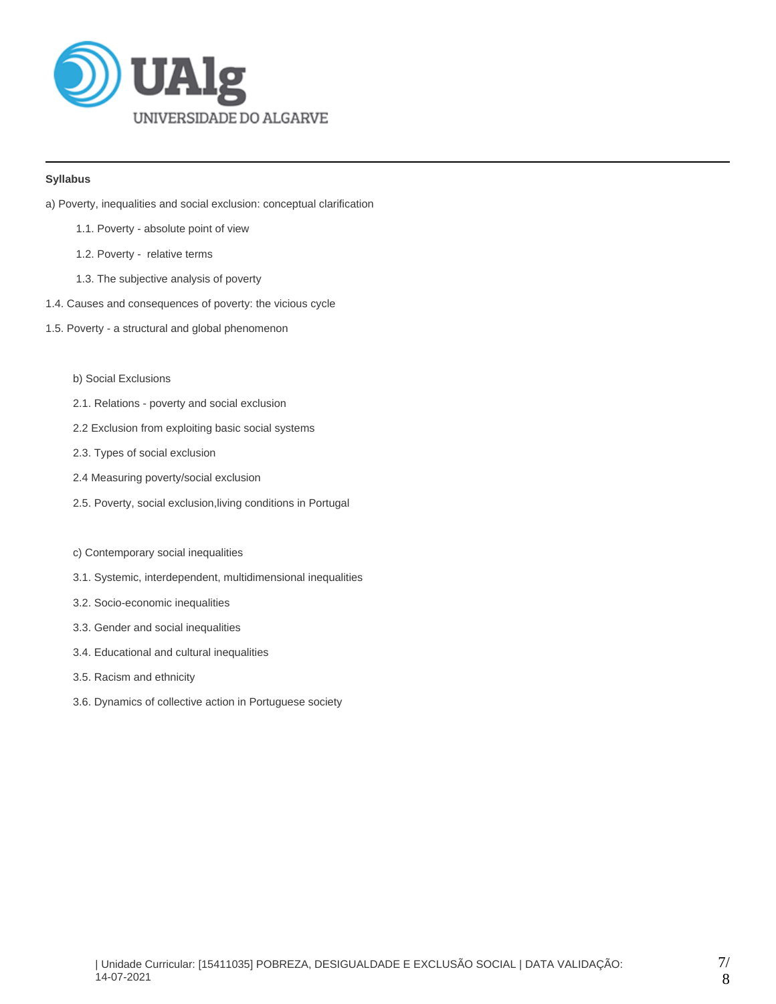

## **Syllabus**

- a) Poverty, inequalities and social exclusion: conceptual clarification
	- 1.1. Poverty absolute point of view
	- 1.2. Poverty relative terms
	- 1.3. The subjective analysis of poverty
- 1.4. Causes and consequences of poverty: the vicious cycle
- 1.5. Poverty a structural and global phenomenon
	- b) Social Exclusions
	- 2.1. Relations poverty and social exclusion
	- 2.2 Exclusion from exploiting basic social systems
	- 2.3. Types of social exclusion
	- 2.4 Measuring poverty/social exclusion
	- 2.5. Poverty, social exclusion,living conditions in Portugal
	- c) Contemporary social inequalities
	- 3.1. Systemic, interdependent, multidimensional inequalities
	- 3.2. Socio-economic inequalities
	- 3.3. Gender and social inequalities
	- 3.4. Educational and cultural inequalities
	- 3.5. Racism and ethnicity
	- 3.6. Dynamics of collective action in Portuguese society